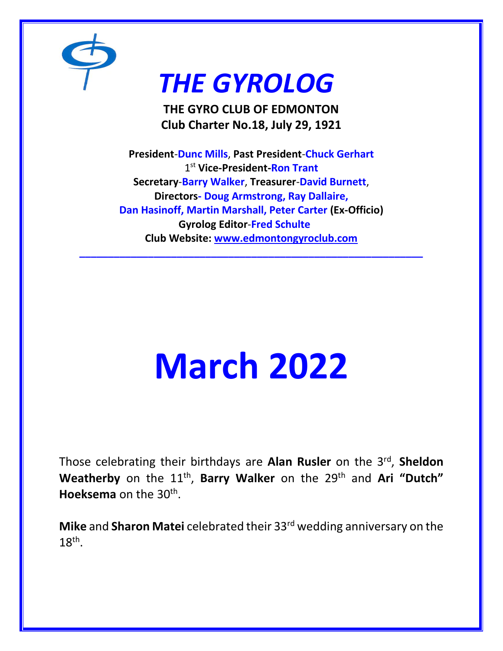

# *THE GYROLOG*

**THE GYRO CLUB OF EDMONTON Club Charter No.18, July 29, 1921**

**President**-**Dunc Mills**, **Past President**-**Chuck Gerhart** 1 st **Vice-President-Ron Trant Secretary**-**Barry Walker**, **Treasurer**-**David Burnett**, **Directors- Doug Armstrong, Ray Dallaire, Dan Hasinoff, Martin Marshall, Peter Carter (Ex-Officio) Gyrolog Editor**-**Fred Schulte Club Website: [www.edmontongyroclub.com](http://www.edmontongyroclub.com/)**

**\_\_\_\_\_\_\_\_\_\_\_\_\_\_\_\_\_\_\_\_\_\_\_\_\_\_\_\_\_\_\_\_\_\_\_\_\_\_\_\_\_\_\_\_\_\_\_\_\_\_\_\_\_\_\_\_\_\_\_\_**

# **March 2022**

Those celebrating their birthdays are Alan Rusler on the 3rd, Sheldon Weatherby on the 11<sup>th</sup>, Barry Walker on the 29<sup>th</sup> and Ari "Dutch" **Hoeksema** on the 30<sup>th</sup>.

**Mike** and **Sharon Matei** celebrated their 33rd wedding anniversary on the  $18<sup>th</sup>$ .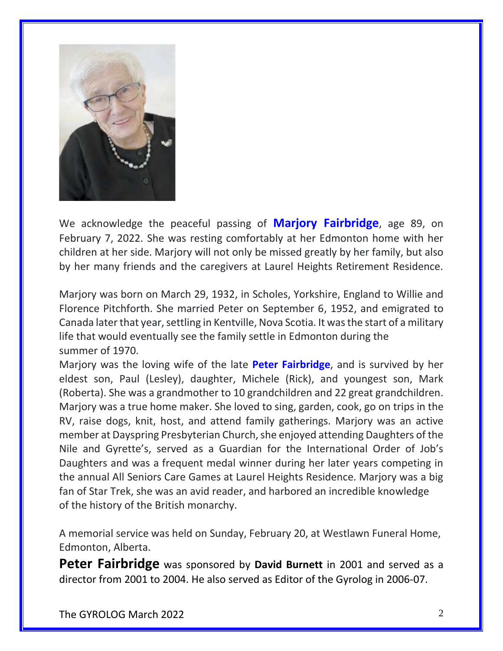

We acknowledge the peaceful passing of **Marjory Fairbridge**, age 89, on February 7, 2022. She was resting comfortably at her Edmonton home with her children at her side. Marjory will not only be missed greatly by her family, but also by her many friends and the caregivers at Laurel Heights Retirement Residence.

Marjory was born on March 29, 1932, in Scholes, Yorkshire, England to Willie and Florence Pitchforth. She married Peter on September 6, 1952, and emigrated to Canada later that year, settling in Kentville, Nova Scotia. It was the start of a military life that would eventually see the family settle in Edmonton during the summer of 1970.

Marjory was the loving wife of the late **Peter Fairbridge**, and is survived by her eldest son, Paul (Lesley), daughter, Michele (Rick), and youngest son, Mark (Roberta). She was a grandmother to 10 grandchildren and 22 great grandchildren. Marjory was a true home maker. She loved to sing, garden, cook, go on trips in the RV, raise dogs, knit, host, and attend family gatherings. Marjory was an active member at Dayspring Presbyterian Church, she enjoyed attending Daughters of the Nile and Gyrette's, served as a Guardian for the International Order of Job's Daughters and was a frequent medal winner during her later years competing in the annual All Seniors Care Games at Laurel Heights Residence. Marjory was a big fan of Star Trek, she was an avid reader, and harbored an incredible knowledge of the history of the British monarchy.

A memorial service was held on Sunday, February 20, at Westlawn Funeral Home, Edmonton, Alberta.

**Peter Fairbridge** was sponsored by **David Burnett** in 2001 and served as a director from 2001 to 2004. He also served as Editor of the Gyrolog in 2006-07.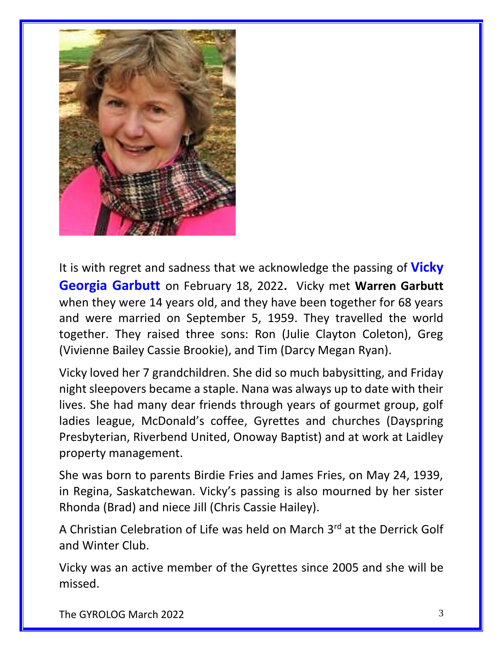

It is with regret and sadness that we acknowledge the passing of **Vicky Georgia Garbutt** on February 18, 2022**.** Vicky met **Warren Garbutt** when they were 14 years old, and they have been together for 68 years and were married on September 5, 1959. They travelled the world together. They raised three sons: Ron (Julie Clayton Coleton), Greg (Vivienne Bailey Cassie Brookie), and Tim (Darcy Megan Ryan).

Vicky loved her 7 grandchildren. She did so much babysitting, and Friday night sleepovers became a staple. Nana was always up to date with their lives. She had many dear friends through years of gourmet group, golf ladies league, McDonald's coffee, Gyrettes and churches (Dayspring Presbyterian, Riverbend United, Onoway Baptist) and at work at Laidley property management.

She was born to parents Birdie Fries and James Fries, on May 24, 1939, in Regina, Saskatchewan. Vicky's passing is also mourned by her sister Rhonda (Brad) and niece Jill (Chris Cassie Hailey).

A Christian Celebration of Life was held on March 3rd at the Derrick Golf and Winter Club.

Vicky was an active member of the Gyrettes since 2005 and she will be missed.

The GYROLOG March 2022 3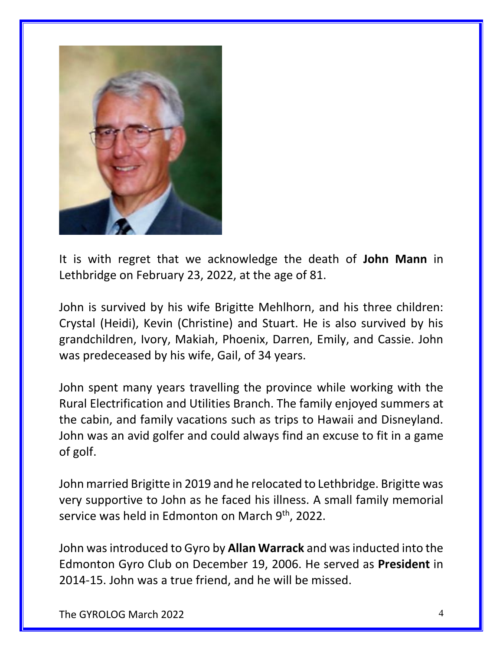

It is with regret that we acknowledge the death of **John Mann** in Lethbridge on February 23, 2022, at the age of 81.

John is survived by his wife Brigitte Mehlhorn, and his three children: Crystal (Heidi), Kevin (Christine) and Stuart. He is also survived by his grandchildren, Ivory, Makiah, Phoenix, Darren, Emily, and Cassie. John was predeceased by his wife, Gail, of 34 years.

John spent many years travelling the province while working with the Rural Electrification and Utilities Branch. The family enjoyed summers at the cabin, and family vacations such as trips to Hawaii and Disneyland. John was an avid golfer and could always find an excuse to fit in a game of golf.

John married Brigitte in 2019 and he relocated to Lethbridge. Brigitte was very supportive to John as he faced his illness. A small family memorial service was held in Edmonton on March 9<sup>th</sup>, 2022.

John was introduced to Gyro by **Allan Warrack** and was inducted into the Edmonton Gyro Club on December 19, 2006. He served as **President** in 2014-15. John was a true friend, and he will be missed.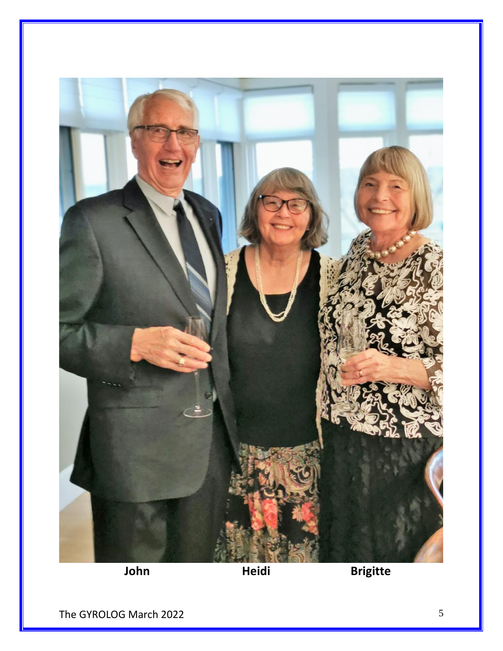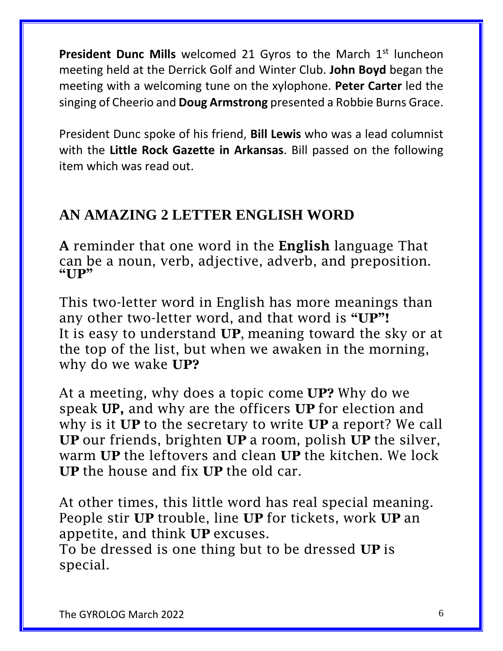**President Dunc Mills** welcomed 21 Gyros to the March 1<sup>st</sup> luncheon meeting held at the Derrick Golf and Winter Club. **John Boyd** began the meeting with a welcoming tune on the xylophone. **Peter Carter** led the singing of Cheerio and **Doug Armstrong** presented a Robbie Burns Grace.

President Dunc spoke of his friend, **Bill Lewis** who was a lead columnist with the **Little Rock Gazette in Arkansas**. Bill passed on the following item which was read out.

# **AN AMAZING 2 LETTER ENGLISH WORD**

A reminder that one word in the English language That can be a noun, verb, adjective, adverb, and preposition. **"UP"**

This two-letter word in English has more meanings than any other two-letter word, and that word is **"UP"!** It is easy to understand **UP**, meaning toward the sky or at the top of the list, but when we awaken in the morning, why do we wake **UP?**

At a meeting, why does a topic come **UP?** Why do we speak UP, and why are the officers **UP** for election and why is it **UP** to the secretary to write **UP** a report? We call **UP** our friends, brighten **UP** a room, polish **UP** the silver, warm **UP** the leftovers and clean **UP** the kitchen. We lock **UP** the house and fix **UP** the old car.

At other times, this little word has real special meaning. People stir **UP** trouble, line **UP** for tickets, work **UP** an appetite, and think **UP** excuses.

To be dressed is one thing but to be dressed **UP** is special.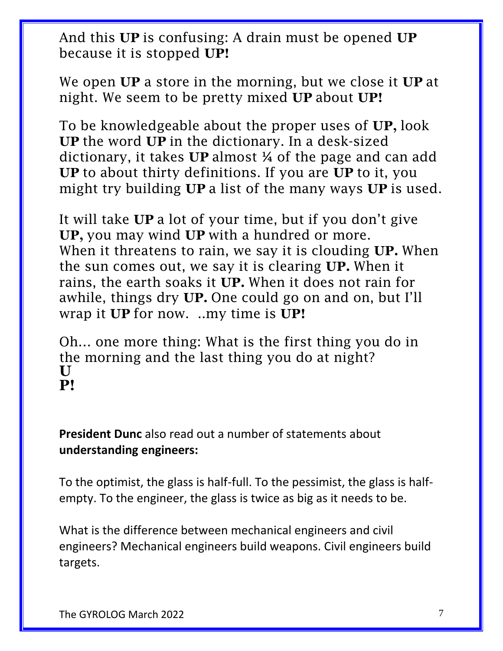And this **UP** is confusing: A drain must be opened **UP**  because it is stopped **UP!**

We open **UP** a store in the morning, but we close it **UP** at night. We seem to be pretty mixed **UP** about **UP!**

To be knowledgeable about the proper uses of **UP,** look **UP** the word **UP** in the dictionary. In a desk-sized dictionary, it takes **UP** almost ¼ of the page and can add **UP** to about thirty definitions. If you are **UP** to it, you might try building **UP** a list of the many ways **UP** is used.

It will take **UP** a lot of your time, but if you don't give **UP,** you may wind **UP** with a hundred or more. When it threatens to rain, we say it is clouding **UP.** When the sun comes out, we say it is clearing **UP.** When it rains, the earth soaks it **UP.** When it does not rain for awhile, things dry **UP.** One could go on and on, but I'll wrap it **UP** for now. ..my time is **UP!**

Oh… one more thing: What is the first thing you do in the morning and the last thing you do at night? **U P!**

**President Dunc** also read out a number of statements about **understanding engineers:**

To the optimist, the glass is half-full. To the pessimist, the glass is halfempty. To the engineer, the glass is twice as big as it needs to be.

What is the difference between mechanical engineers and civil engineers? Mechanical engineers build weapons. Civil engineers build targets.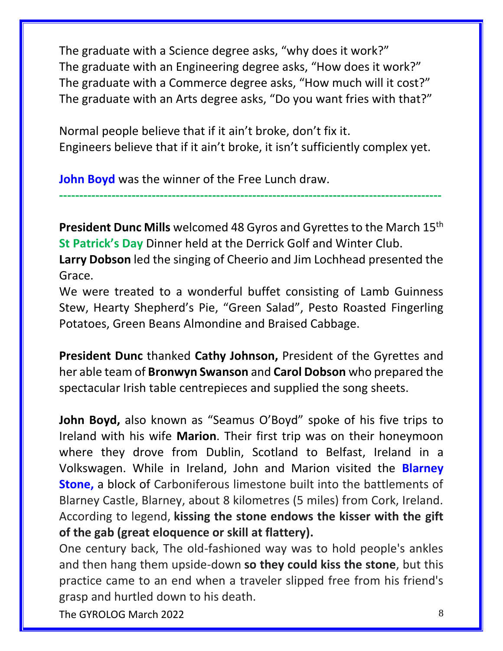The graduate with a Science degree asks, "why does it work?" The graduate with an Engineering degree asks, "How does it work?" The graduate with a Commerce degree asks, "How much will it cost?" The graduate with an Arts degree asks, "Do you want fries with that?"

Normal people believe that if it ain't broke, don't fix it. Engineers believe that if it ain't broke, it isn't sufficiently complex yet.

**John Boyd** was the winner of the Free Lunch draw.

**President Dunc Mills** welcomed 48 Gyros and Gyrettes to the March 15th **St Patrick's Day** Dinner held at the Derrick Golf and Winter Club.

**-----------------------------------------------------------------------------------------------** 

**Larry Dobson** led the singing of Cheerio and Jim Lochhead presented the Grace.

We were treated to a wonderful buffet consisting of Lamb Guinness Stew, Hearty Shepherd's Pie, "Green Salad", Pesto Roasted Fingerling Potatoes, Green Beans Almondine and Braised Cabbage.

**President Dunc** thanked **Cathy Johnson,** President of the Gyrettes and her able team of **Bronwyn Swanson** and **Carol Dobson** who prepared the spectacular Irish table centrepieces and supplied the song sheets.

**John Boyd,** also known as "Seamus O'Boyd" spoke of his five trips to Ireland with his wife **Marion**. Their first trip was on their honeymoon where they drove from Dublin, Scotland to Belfast, Ireland in a Volkswagen. While in Ireland, John and Marion visited the **Blarney Stone,** a block of Carboniferous limestone built into the battlements of Blarney Castle, Blarney, about 8 kilometres (5 miles) from Cork, Ireland. According to legend, **kissing the stone endows the kisser with the gift of the gab (great eloquence or skill at flattery).** 

One century back, The old-fashioned way was to hold people's ankles and then hang them upside-down **so they could kiss the stone**, but this practice came to an end when a traveler slipped free from his friend's grasp and hurtled down to his death.

The GYROLOG March 2022 8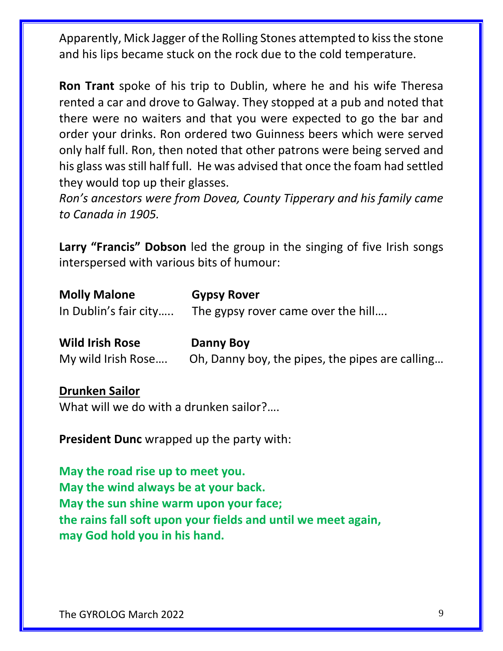Apparently, Mick Jagger of the Rolling Stones attempted to kiss the stone and his lips became stuck on the rock due to the cold temperature.

**Ron Trant** spoke of his trip to Dublin, where he and his wife Theresa rented a car and drove to Galway. They stopped at a pub and noted that there were no waiters and that you were expected to go the bar and order your drinks. Ron ordered two Guinness beers which were served only half full. Ron, then noted that other patrons were being served and his glass was still half full. He was advised that once the foam had settled they would top up their glasses.

*Ron's ancestors were from Dovea, County Tipperary and his family came to Canada in 1905.*

**Larry "Francis" Dobson** led the group in the singing of five Irish songs interspersed with various bits of humour:

| <b>Molly Malone</b>   | <b>Gypsy Rover</b>                 |
|-----------------------|------------------------------------|
| In Dublin's fair city | The gypsy rover came over the hill |

| <b>Wild Irish Rose</b> | Danny Boy                                       |
|------------------------|-------------------------------------------------|
| My wild Irish Rose     | Oh, Danny boy, the pipes, the pipes are calling |

**Drunken Sailor**

What will we do with a drunken sailor?….

**President Dunc** wrapped up the party with:

**May the road rise up to meet you. May the wind always be at your back. May the sun shine warm upon your face; the rains fall soft upon your fields and until we meet again, may God hold you in his hand.**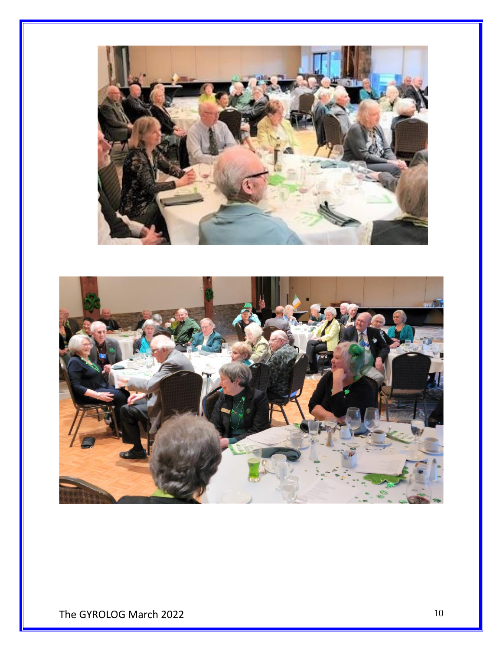

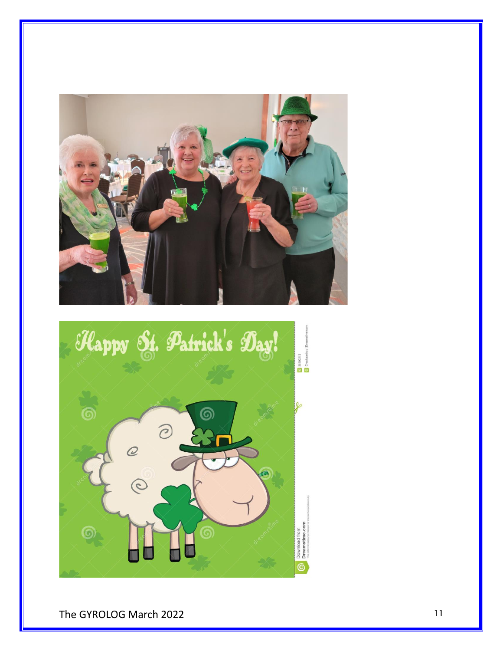

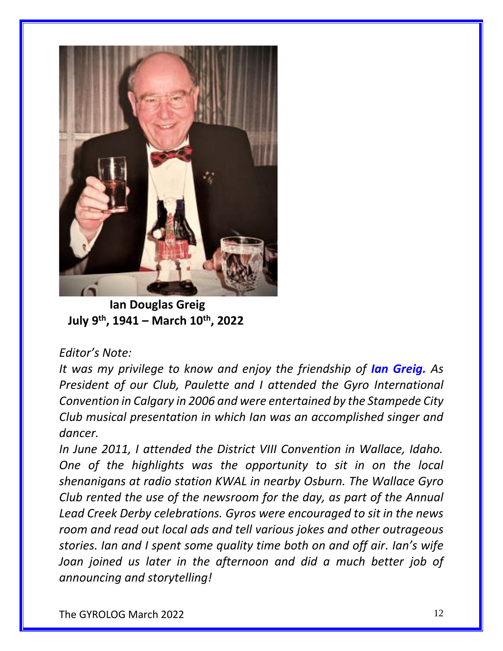

 **Ian Douglas Greig July 9th, 1941 – March 10th, 2022**

#### *Editor's Note:*

*It was my privilege to know and enjoy the friendship of Ian Greig. As President of our Club, Paulette and I attended the Gyro International Convention in Calgary in 2006 and were entertained by the Stampede City Club musical presentation in which Ian was an accomplished singer and dancer.*

*In June 2011, I attended the District VIII Convention in Wallace, Idaho. One of the highlights was the opportunity to sit in on the local shenanigans at radio station KWAL in nearby Osburn. The Wallace Gyro Club rented the use of the newsroom for the day, as part of the Annual Lead Creek Derby celebrations. Gyros were encouraged to sit in the news room and read out local ads and tell various jokes and other outrageous stories. Ian and I spent some quality time both on and off air. Ian's wife Joan joined us later in the afternoon and did a much better job of announcing and storytelling!*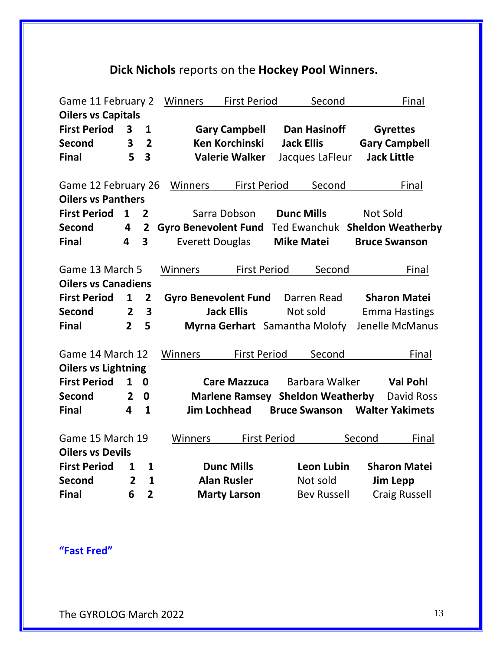## **Dick Nichols** reports on the **Hockey Pool Winners.**

| Game 11 February 2         |                | <b>Winners</b><br><b>First Period</b> |                                                  |                                                                                | Second             |                                         | Final                |                        |  |  |  |
|----------------------------|----------------|---------------------------------------|--------------------------------------------------|--------------------------------------------------------------------------------|--------------------|-----------------------------------------|----------------------|------------------------|--|--|--|
| <b>Oilers vs Capitals</b>  |                |                                       |                                                  |                                                                                |                    |                                         |                      |                        |  |  |  |
| <b>First Period</b>        | 3              | $\mathbf{1}$                          |                                                  | <b>Gary Campbell</b><br><b>Dan Hasinoff</b>                                    |                    | <b>Gyrettes</b>                         |                      |                        |  |  |  |
| <b>Second</b>              | 3              | $\overline{2}$                        |                                                  | <b>Ken Korchinski</b><br><b>Jack Ellis</b>                                     |                    |                                         | <b>Gary Campbell</b> |                        |  |  |  |
| <b>Final</b>               | 5              | 3                                     |                                                  | <b>Valerie Walker</b>                                                          |                    | Jacques LaFleur                         |                      | <b>Jack Little</b>     |  |  |  |
|                            |                |                                       |                                                  |                                                                                |                    |                                         |                      |                        |  |  |  |
| Game 12 February 26        |                |                                       | Winners<br><b>First Period</b>                   |                                                                                | Second             |                                         | Final                |                        |  |  |  |
| <b>Oilers vs Panthers</b>  |                |                                       |                                                  |                                                                                |                    |                                         |                      |                        |  |  |  |
| <b>First Period</b>        | $\mathbf{1}$   | $\overline{2}$                        |                                                  | <b>Dunc Mills</b><br>Sarra Dobson                                              |                    |                                         | Not Sold             |                        |  |  |  |
| <b>Second</b>              | 4              | $\overline{2}$                        |                                                  | <b>Gyro Benevolent Fund</b><br><b>Ted Ewanchuk</b><br><b>Sheldon Weatherby</b> |                    |                                         |                      |                        |  |  |  |
| <b>Final</b>               | 4              | 3                                     | <b>Everett Douglas</b>                           |                                                                                |                    | <b>Mike Matei</b>                       | <b>Bruce Swanson</b> |                        |  |  |  |
|                            |                |                                       |                                                  |                                                                                |                    |                                         |                      |                        |  |  |  |
| Game 13 March 5            |                |                                       | Winners                                          | <b>First Period</b><br>Second                                                  |                    |                                         | Final                |                        |  |  |  |
| <b>Oilers vs Canadiens</b> |                |                                       |                                                  |                                                                                |                    |                                         |                      |                        |  |  |  |
| <b>First Period</b>        | 1              | $\mathbf{2}$                          | <b>Gyro Benevolent Fund</b>                      |                                                                                |                    | Darren Read                             |                      | <b>Sharon Matei</b>    |  |  |  |
| <b>Second</b>              | $\overline{2}$ | 3                                     |                                                  | <b>Jack Ellis</b><br>Not sold                                                  |                    |                                         | <b>Emma Hastings</b> |                        |  |  |  |
| <b>Final</b>               | $\overline{2}$ | 5                                     | Jenelle McManus<br>Myrna Gerhart Samantha Molofy |                                                                                |                    |                                         |                      |                        |  |  |  |
|                            |                |                                       |                                                  |                                                                                |                    |                                         |                      |                        |  |  |  |
| Game 14 March 12           |                | Winners<br><b>First Period</b>        |                                                  | Second                                                                         | Final              |                                         |                      |                        |  |  |  |
| <b>Oilers vs Lightning</b> |                |                                       |                                                  |                                                                                |                    |                                         |                      |                        |  |  |  |
| <b>First Period</b>        | $\mathbf{1}$   | $\mathbf 0$                           |                                                  | <b>Care Mazzuca</b>                                                            |                    | Barbara Walker                          |                      | <b>Val Pohl</b>        |  |  |  |
| <b>Second</b>              | $\overline{2}$ | $\mathbf 0$                           |                                                  |                                                                                |                    | <b>Marlene Ramsey Sheldon Weatherby</b> |                      | David Ross             |  |  |  |
| <b>Final</b>               | 4              | $\mathbf{1}$                          |                                                  | <b>Jim Lochhead</b>                                                            |                    | <b>Bruce Swanson</b>                    |                      | <b>Walter Yakimets</b> |  |  |  |
|                            |                |                                       |                                                  |                                                                                |                    |                                         |                      |                        |  |  |  |
| Game 15 March 19           |                | Winners<br><b>First Period</b>        |                                                  |                                                                                |                    | Second<br>Final                         |                      |                        |  |  |  |
| <b>Oilers vs Devils</b>    |                |                                       |                                                  |                                                                                |                    |                                         |                      |                        |  |  |  |
| <b>First Period</b>        | 1              | $\mathbf{1}$                          |                                                  | <b>Dunc Mills</b>                                                              |                    | <b>Leon Lubin</b>                       |                      | <b>Sharon Matei</b>    |  |  |  |
| <b>Second</b>              | $\overline{2}$ | $\mathbf{1}$                          |                                                  | <b>Alan Rusler</b>                                                             |                    | Not sold                                | <b>Jim Lepp</b>      |                        |  |  |  |
| <b>Final</b>               | 6              | $\overline{2}$                        | <b>Marty Larson</b>                              |                                                                                | <b>Bev Russell</b> | <b>Craig Russell</b>                    |                      |                        |  |  |  |

#### **"Fast Fred"**